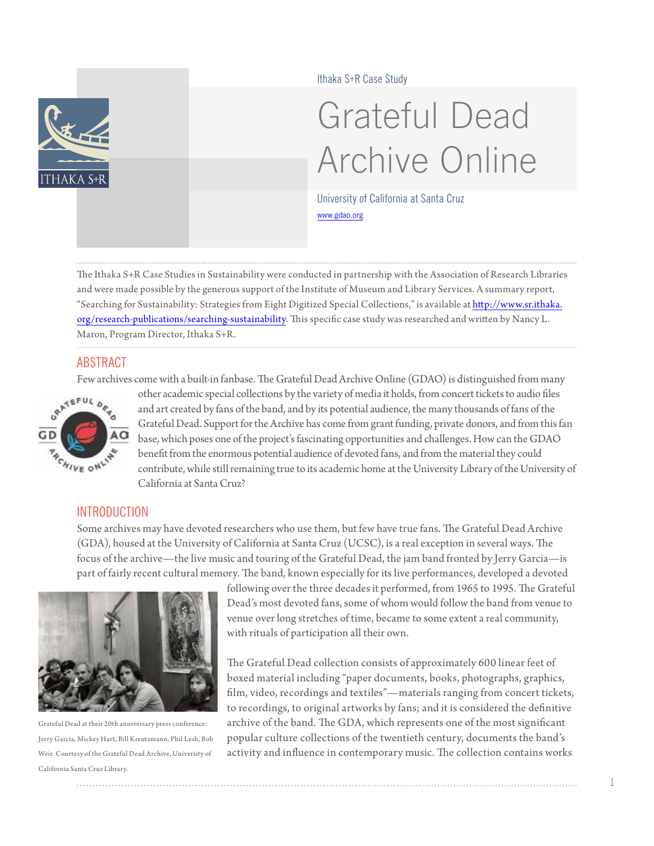

Ithaka S+R Case Study

# Grateful Dead Archive Online

University of California at Santa Cruz <www.gdao.org>

The Ithaka S+R Case Studies in Sustainability were conducted in partnership with the Association of Research Libraries and were made possible by the generous support of the Institute of Museum and Library Services. A summary report, "Searching for Sustainability: Strategies from Eight Digitized Special Collections," is available at [http://www.sr.ithaka.](http://www.sr.ithaka.org/research-publications/searching-sustainability) [org/research-publications/searching-](http://www.sr.ithaka.org/research-publications/searching-sustainability)sustainability. This specific case study was researched and written by Nancy L. Maron, Program Director, Ithaka S+R.

#### ABSTRACT

Few archives come with a built-in fanbase. The Grateful Dead Archive Online (GDAO) is distinguished from many



other academic special collections by the variety of media it holds, from concert tickets to audio files and art created by fans of the band, and by its potential audience, the many thousands of fans of the Grateful Dead. Support for the Archive has come from grant funding, private donors, and from this fan base, which poses one of the project's fascinating opportunities and challenges. How can the GDAO benefit from the enormous potential audience of devoted fans, and from the material they could contribute, while still remaining true to its academic home at the University Library of the University of California at Santa Cruz?

# **INTRODUCTION**

Some archives may have devoted researchers who use them, but few have true fans. The Grateful Dead Archive (GDA), housed at the University of California at Santa Cruz (UCSC), is a real exception in several ways. The focus of the archive—the live music and touring of the Grateful Dead, the jam band fronted by Jerry Garcia—is part of fairly recent cultural memory. The band, known especially for its live performances, developed a devoted



Grateful Dead at their 20th anniversary press conference: Jerry Garcia, Mickey Hart, Bill Kreutzmann, Phil Lesh, Bob Weir. Courtesy of the Grateful Dead Archive, University of California Santa Cruz Library.

following over the three decades it performed, from 1965 to 1995. The Grateful Dead's most devoted fans, some of whom would follow the band from venue to venue over long stretches of time, became to some extent a real community, with rituals of participation all their own.

The Grateful Dead collection consists of approximately 600 linear feet of boxed material including "paper documents, books, photographs, graphics, film, video, recordings and textiles"—materials ranging from concert tickets, to recordings, to original artworks by fans; and it is considered the definitive archive of the band. The GDA, which represents one of the most significant popular culture collections of the twentieth century, documents the band's activity and influence in contemporary music. The collection contains works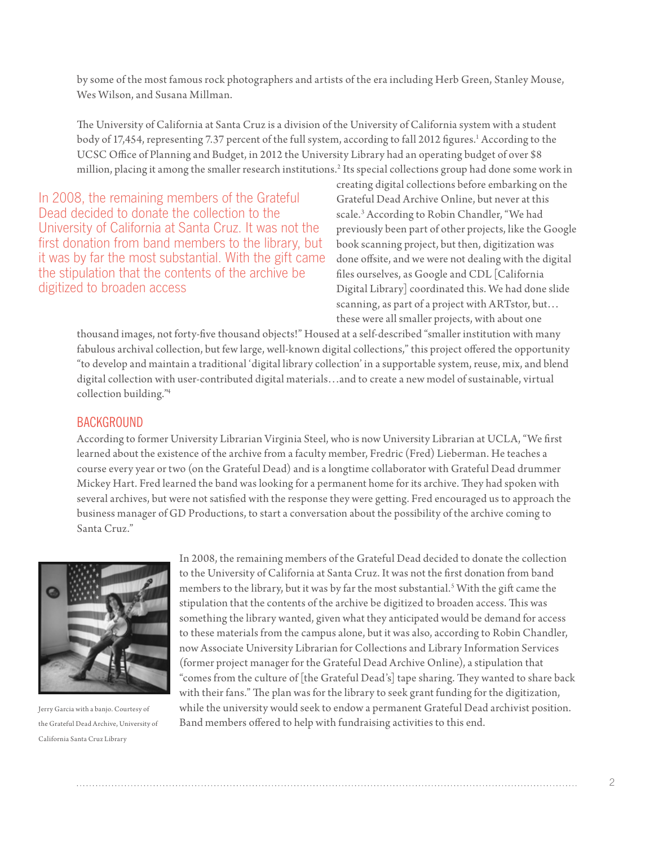by some of the most famous rock photographers and artists of the era including Herb Green, Stanley Mouse, Wes Wilson, and Susana Millman.

The University of California at Santa Cruz is a division of the University of California system with a student body of [1](#page-7-0)7,454, representing 7.37 percent of the full system, according to fall 2012 figures.<sup>1</sup> According to the UCSC Office of Planning and Budget, in 2012 the University Library had an operating budget of over \$8 million, placing it among the smaller research institutions.[2](#page-7-1) Its special collections group had done some work in

In 2008, the remaining members of the Grateful Dead decided to donate the collection to the University of California at Santa Cruz. It was not the first donation from band members to the library, but it was by far the most substantial. With the gift came the stipulation that the contents of the archive be digitized to broaden access

creating digital collections before embarking on the Grateful Dead Archive Online, but never at this scale.<sup>[3](#page-7-2)</sup> According to Robin Chandler, "We had previously been part of other projects, like the Google book scanning project, but then, digitization was done offsite, and we were not dealing with the digital files ourselves, as Google and CDL [California Digital Library] coordinated this. We had done slide scanning, as part of a project with ARTstor, but… these were all smaller projects, with about one

thousand images, not forty-five thousand objects!" Housed at a self-described "smaller institution with many fabulous archival collection, but few large, well-known digital collections," this project offered the opportunity "to develop and maintain a traditional 'digital library collection' in a supportable system, reuse, mix, and blend digital collection with user-contributed digital materials…and to create a new model of sustainable, virtual collection building.["4](#page-7-3)

#### **BACKGROUND**

According to former University Librarian Virginia Steel, who is now University Librarian at UCLA, "We first learned about the existence of the archive from a faculty member, Fredric (Fred) Lieberman. He teaches a course every year or two (on the Grateful Dead) and is a longtime collaborator with Grateful Dead drummer Mickey Hart. Fred learned the band was looking for a permanent home for its archive. They had spoken with several archives, but were not satisfied with the response they were getting. Fred encouraged us to approach the business manager of GD Productions, to start a conversation about the possibility of the archive coming to Santa Cruz."



Jerry Garcia with a banjo. Courtesy of the Grateful Dead Archive, University of California Santa Cruz Library

In 2008, the remaining members of the Grateful Dead decided to donate the collection to the University of California at Santa Cruz. It was not the first donation from band members to the library, but it was by far the most substantial.<sup>5</sup> With the gift came the stipulation that the contents of the archive be digitized to broaden access. This was something the library wanted, given what they anticipated would be demand for access to these materials from the campus alone, but it was also, according to Robin Chandler, now Associate University Librarian for Collections and Library Information Services (former project manager for the Grateful Dead Archive Online), a stipulation that "comes from the culture of [the Grateful Dead's] tape sharing. They wanted to share back with their fans." The plan was for the library to seek grant funding for the digitization, while the university would seek to endow a permanent Grateful Dead archivist position. Band members offered to help with fundraising activities to this end.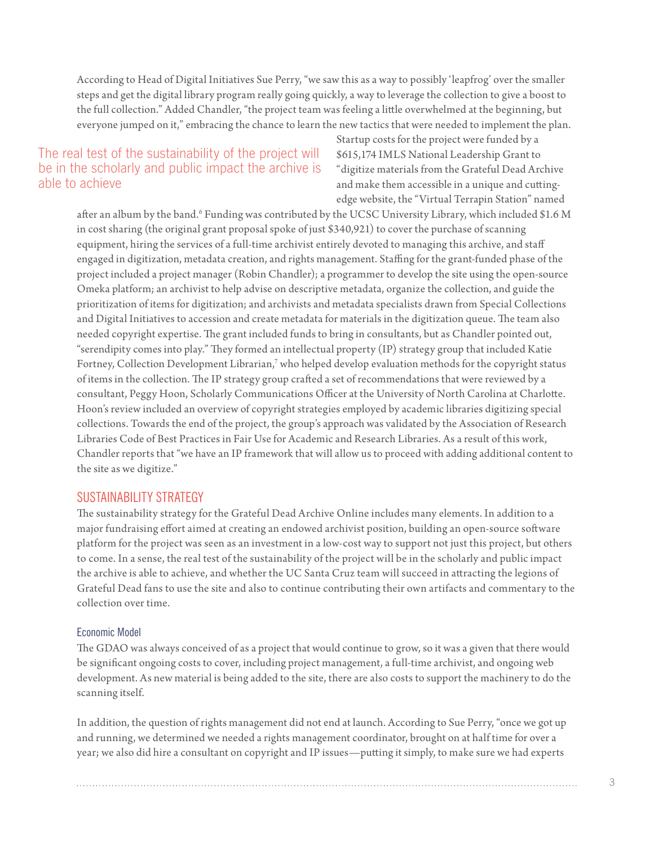According to Head of Digital Initiatives Sue Perry, "we saw this as a way to possibly 'leapfrog' over the smaller steps and get the digital library program really going quickly, a way to leverage the collection to give a boost to the full collection." Added Chandler, "the project team was feeling a little overwhelmed at the beginning, but everyone jumped on it," embracing the chance to learn the new tactics that were needed to implement the plan.

# The real test of the sustainability of the project will be in the scholarly and public impact the archive is able to achieve

Startup costs for the project were funded by a \$615,174 IMLS National Leadership Grant to "digitize materials from the Grateful Dead Archive and make them accessible in a unique and cuttingedge website, the "Virtual Terrapin Station" named

after an album by the band.<sup>6</sup> Funding was contributed by the UCSC University Library, which included \$1[.6](#page-8-1) M in cost sharing (the original grant proposal spoke of just \$340,921) to cover the purchase of scanning equipment, hiring the services of a full-time archivist entirely devoted to managing this archive, and staff engaged in digitization, metadata creation, and rights management. Staffing for the grant-funded phase of the project included a project manager (Robin Chandler); a programmer to develop the site using the open-source Omeka platform; an archivist to help advise on descriptive metadata, organize the collection, and guide the prioritization of items for digitization; and archivists and metadata specialists drawn from Special Collections and Digital Initiatives to accession and create metadata for materials in the digitization queue. The team also needed copyright expertise. The grant included funds to bring in consultants, but as Chandler pointed out, "serendipity comes into play." They formed an intellectual property (IP) strategy group that included Katie Fortney, Collection Development Librarian, $^7$  who helped develop evaluation methods for the copyright status of items in the collection. The IP strategy group crafted a set of recommendations that were reviewed by a consultant, Peggy Hoon, Scholarly Communications Officer at the University of North Carolina at Charlotte. Hoon's review included an overview of copyright strategies employed by academic libraries digitizing special collections. Towards the end of the project, the group's approach was validated by the Association of Research Libraries Code of Best Practices in Fair Use for Academic and Research Libraries. As a result of this work, Chandler reports that "we have an IP framework that will allow us to proceed with adding additional content to the site as we digitize."

#### SUSTAINABILITY STRATEGY

The sustainability strategy for the Grateful Dead Archive Online includes many elements. In addition to a major fundraising effort aimed at creating an endowed archivist position, building an open-source software platform for the project was seen as an investment in a low-cost way to support not just this project, but others to come. In a sense, the real test of the sustainability of the project will be in the scholarly and public impact the archive is able to achieve, and whether the UC Santa Cruz team will succeed in attracting the legions of Grateful Dead fans to use the site and also to continue contributing their own artifacts and commentary to the collection over time.

#### Economic Model

The GDAO was always conceived of as a project that would continue to grow, so it was a given that there would be significant ongoing costs to cover, including project management, a full-time archivist, and ongoing web development. As new material is being added to the site, there are also costs to support the machinery to do the scanning itself.

In addition, the question of rights management did not end at launch. According to Sue Perry, "once we got up and running, we determined we needed a rights management coordinator, brought on at half time for over a year; we also did hire a consultant on copyright and IP issues—putting it simply, to make sure we had experts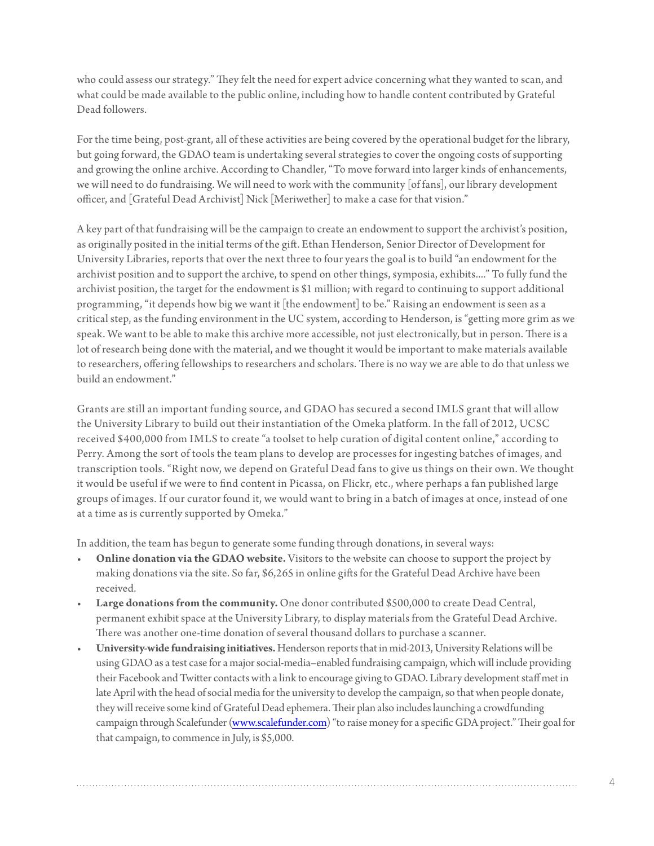who could assess our strategy." They felt the need for expert advice concerning what they wanted to scan, and what could be made available to the public online, including how to handle content contributed by Grateful Dead followers.

For the time being, post-grant, all of these activities are being covered by the operational budget for the library, but going forward, the GDAO team is undertaking several strategies to cover the ongoing costs of supporting and growing the online archive. According to Chandler, "To move forward into larger kinds of enhancements, we will need to do fundraising. We will need to work with the community [of fans], our library development officer, and [Grateful Dead Archivist] Nick [Meriwether] to make a case for that vision."

A key part of that fundraising will be the campaign to create an endowment to support the archivist's position, as originally posited in the initial terms of the gift. Ethan Henderson, Senior Director of Development for University Libraries, reports that over the next three to four years the goal is to build "an endowment for the archivist position and to support the archive, to spend on other things, symposia, exhibits...." To fully fund the archivist position, the target for the endowment is \$1 million; with regard to continuing to support additional programming, "it depends how big we want it [the endowment] to be." Raising an endowment is seen as a critical step, as the funding environment in the UC system, according to Henderson, is "getting more grim as we speak. We want to be able to make this archive more accessible, not just electronically, but in person. There is a lot of research being done with the material, and we thought it would be important to make materials available to researchers, offering fellowships to researchers and scholars. There is no way we are able to do that unless we build an endowment."

Grants are still an important funding source, and GDAO has secured a second IMLS grant that will allow the University Library to build out their instantiation of the Omeka platform. In the fall of 2012, UCSC received \$400,000 from IMLS to create "a toolset to help curation of digital content online," according to Perry. Among the sort of tools the team plans to develop are processes for ingesting batches of images, and transcription tools. "Right now, we depend on Grateful Dead fans to give us things on their own. We thought it would be useful if we were to find content in Picassa, on Flickr, etc., where perhaps a fan published large groups of images. If our curator found it, we would want to bring in a batch of images at once, instead of one at a time as is currently supported by Omeka."

In addition, the team has begun to generate some funding through donations, in several ways:

- **Online donation via the GDAO website.** Visitors to the website can choose to support the project by making donations via the site. So far, \$6,265 in online gifts for the Grateful Dead Archive have been received.
- **Large donations from the community.** One donor contributed \$500,000 to create Dead Central, permanent exhibit space at the University Library, to display materials from the Grateful Dead Archive. There was another one-time donation of several thousand dollars to purchase a scanner.
- • **University-wide fundraising initiatives.** Henderson reports that in mid-2013, University Relations will be using GDAO as a test case for a major social-media–enabled fundraising campaign, which will include providing their Facebook and Twitter contacts with a link to encourage giving to GDAO. Library development staff met in late April with the head of social media for the university to develop the campaign, so that when people donate, they will receive some kind of Grateful Dead ephemera. Their plan also includes launching a crowdfunding campaign through Scalefunder [\(www.scalefunder.com](www.scalefunder.com)) "to raise money for a specific GDA project." Their goal for that campaign, to commence in July, is \$5,000.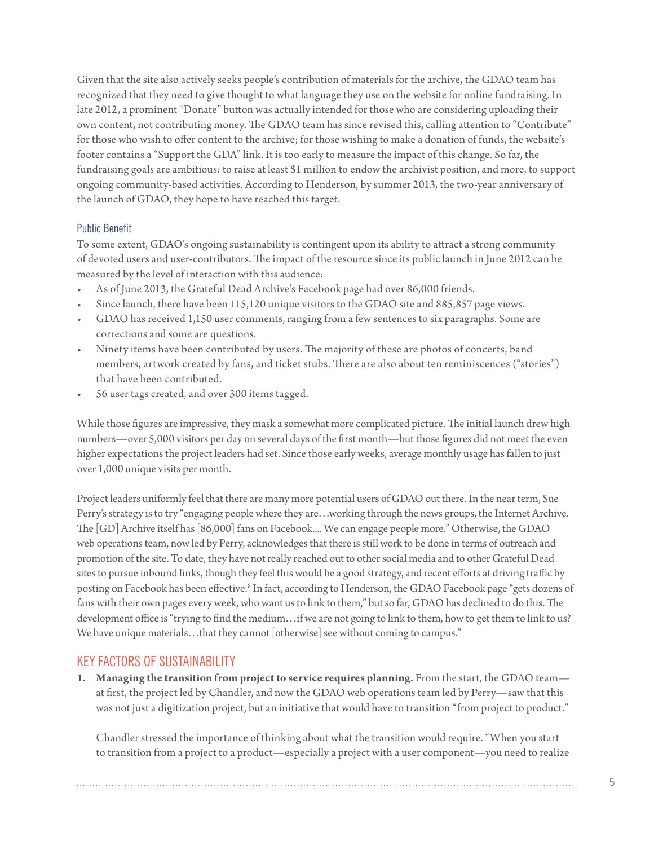Given that the site also actively seeks people's contribution of materials for the archive, the GDAO team has recognized that they need to give thought to what language they use on the website for online fundraising. In late 2012, a prominent "Donate" button was actually intended for those who are considering uploading their own content, not contributing money. The GDAO team has since revised this, calling attention to "Contribute" for those who wish to offer content to the archive; for those wishing to make a donation of funds, the website's footer contains a "Support the GDA" link. It is too early to measure the impact of this change. So far, the fundraising goals are ambitious: to raise at least \$1 million to endow the archivist position, and more, to support ongoing community-based activities. According to Henderson, by summer 2013, the two-year anniversary of the launch of GDAO, they hope to have reached this target.

#### Public Benefit

To some extent, GDAO's ongoing sustainability is contingent upon its ability to attract a strong community of devoted users and user-contributors. The impact of the resource since its public launch in June 2012 can be measured by the level of interaction with this audience:

- As of June 2013, the Grateful Dead Archive's Facebook page had over 86,000 friends.
- Since launch, there have been 115,120 unique visitors to the GDAO site and 885,857 page views.
- GDAO has received 1,150 user comments, ranging from a few sentences to six paragraphs. Some are corrections and some are questions.
- Ninety items have been contributed by users. The majority of these are photos of concerts, band members, artwork created by fans, and ticket stubs. There are also about ten reminiscences ("stories") that have been contributed.
- 56 user tags created, and over 300 items tagged.

While those figures are impressive, they mask a somewhat more complicated picture. The initial launch drew high numbers—over 5,000 visitors per day on several days of the first month—but those figures did not meet the even higher expectations the project leaders had set. Since those early weeks, average monthly usage has fallen to just over 1,000 unique visits per month.

Project leaders uniformly feel that there are many more potential users of GDAO out there. In the near term, Sue Perry's strategy is to try "engaging people where they are…working through the news groups, the Internet Archive. The [GD] Archive itself has [86,000] fans on Facebook.... We can engage people more." Otherwise, the GDAO web operations team, now led by Perry, acknowledges that there is still work to be done in terms of outreach and promotion of the site. To date, they have not really reached out to other social media and to other Grateful Dead sites to pursue inbound links, though they feel this would be a good strategy, and recent efforts at driving traffic by posting on Facebook has been effective.<sup>[8](#page-8-3)</sup> In fact, according to Henderson, the GDAO Facebook page "gets dozens of fans with their own pages every week, who want us to link to them," but so far, GDAO has declined to do this. The development office is "trying to find the medium…if we are not going to link to them, how to get them to link to us? We have unique materials…that they cannot [otherwise] see without coming to campus."

#### KEY FACTORS OF SUSTAINABILITY

**1. Managing the transition from project to service requires planning.** From the start, the GDAO team at first, the project led by Chandler, and now the GDAO web operations team led by Perry—saw that this was not just a digitization project, but an initiative that would have to transition "from project to product."

Chandler stressed the importance of thinking about what the transition would require. "When you start to transition from a project to a product—especially a project with a user component—you need to realize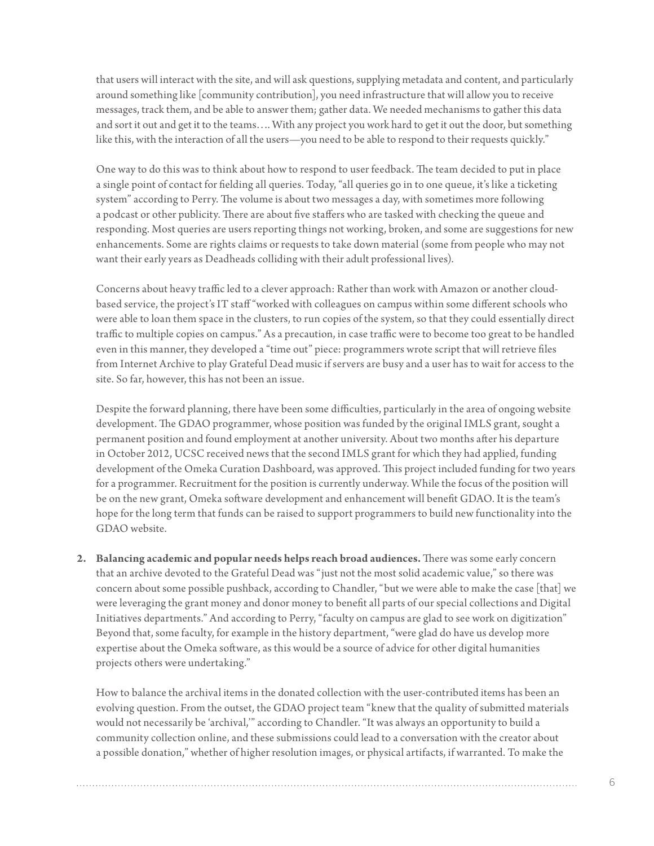that users will interact with the site, and will ask questions, supplying metadata and content, and particularly around something like [community contribution], you need infrastructure that will allow you to receive messages, track them, and be able to answer them; gather data. We needed mechanisms to gather this data and sort it out and get it to the teams…. With any project you work hard to get it out the door, but something like this, with the interaction of all the users—you need to be able to respond to their requests quickly."

One way to do this was to think about how to respond to user feedback. The team decided to put in place a single point of contact for fielding all queries. Today, "all queries go in to one queue, it's like a ticketing system" according to Perry. The volume is about two messages a day, with sometimes more following a podcast or other publicity. There are about five staffers who are tasked with checking the queue and responding. Most queries are users reporting things not working, broken, and some are suggestions for new enhancements. Some are rights claims or requests to take down material (some from people who may not want their early years as Deadheads colliding with their adult professional lives).

Concerns about heavy traffic led to a clever approach: Rather than work with Amazon or another cloudbased service, the project's IT staff "worked with colleagues on campus within some different schools who were able to loan them space in the clusters, to run copies of the system, so that they could essentially direct traffic to multiple copies on campus." As a precaution, in case traffic were to become too great to be handled even in this manner, they developed a "time out" piece: programmers wrote script that will retrieve files from Internet Archive to play Grateful Dead music if servers are busy and a user has to wait for access to the site. So far, however, this has not been an issue.

Despite the forward planning, there have been some difficulties, particularly in the area of ongoing website development. The GDAO programmer, whose position was funded by the original IMLS grant, sought a permanent position and found employment at another university. About two months after his departure in October 2012, UCSC received news that the second IMLS grant for which they had applied, funding development of the Omeka Curation Dashboard, was approved. This project included funding for two years for a programmer. Recruitment for the position is currently underway. While the focus of the position will be on the new grant, Omeka software development and enhancement will benefit GDAO. It is the team's hope for the long term that funds can be raised to support programmers to build new functionality into the GDAO website.

**2. Balancing academic and popular needs helps reach broad audiences.** There was some early concern that an archive devoted to the Grateful Dead was "just not the most solid academic value," so there was concern about some possible pushback, according to Chandler, "but we were able to make the case [that] we were leveraging the grant money and donor money to benefit all parts of our special collections and Digital Initiatives departments." And according to Perry, "faculty on campus are glad to see work on digitization" Beyond that, some faculty, for example in the history department, "were glad do have us develop more expertise about the Omeka software, as this would be a source of advice for other digital humanities projects others were undertaking."

How to balance the archival items in the donated collection with the user-contributed items has been an evolving question. From the outset, the GDAO project team "knew that the quality of submitted materials would not necessarily be 'archival,'" according to Chandler. "It was always an opportunity to build a community collection online, and these submissions could lead to a conversation with the creator about a possible donation," whether of higher resolution images, or physical artifacts, if warranted. To make the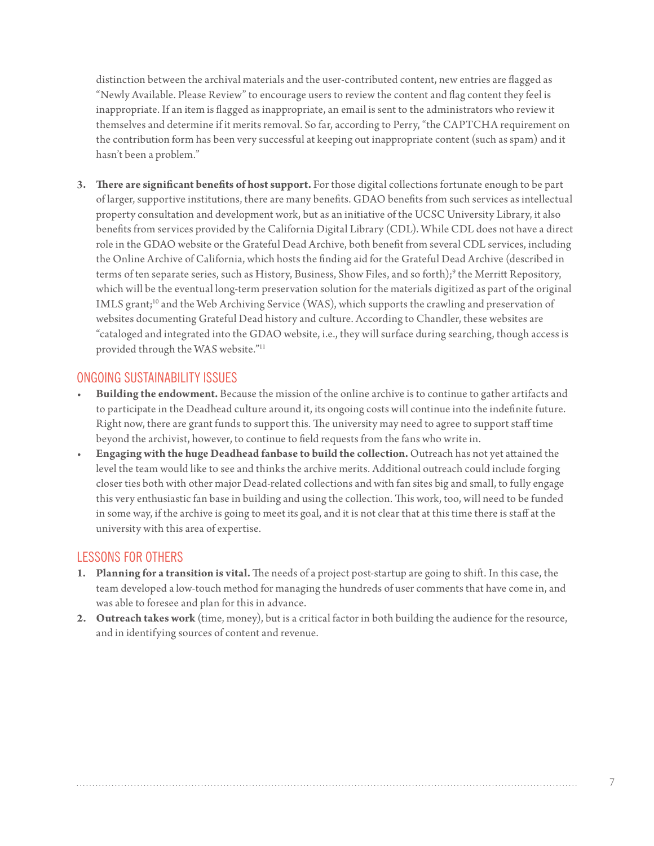distinction between the archival materials and the user-contributed content, new entries are flagged as "Newly Available. Please Review" to encourage users to review the content and flag content they feel is inappropriate. If an item is flagged as inappropriate, an email is sent to the administrators who review it themselves and determine if it merits removal. So far, according to Perry, "the CAPTCHA requirement on the contribution form has been very successful at keeping out inappropriate content (such as spam) and it hasn't been a problem."

**3. There are significant benefits of host support.** For those digital collections fortunate enough to be part of larger, supportive institutions, there are many benefits. GDAO benefits from such services as intellectual property consultation and development work, but as an initiative of the UCSC University Library, it also benefits from services provided by the California Digital Library (CDL). While CDL does not have a direct role in the GDAO website or the Grateful Dead Archive, both benefit from several CDL services, including the Online Archive of California, which hosts the finding aid for the Grateful Dead Archive (described in terms of ten separate series, such as History, Business, Show Files, and so forth);<sup>[9](#page-8-4)</sup> the Merritt Repository, which will be the eventual long-term preservation solution for the materials digitized as part of the original IMLS grant;<sup>10</sup> and the Web Archiving Service (WAS), which supports the crawling and preservation of websites documenting Grateful Dead history and culture. According to Chandler, these websites are "cataloged and integrated into the GDAO website, i.e., they will surface during searching, though access is provided through the WAS website."[11](#page-8-6)

### ONGOING SUSTAINABILITY ISSUES

- **Building the endowment.** Because the mission of the online archive is to continue to gather artifacts and to participate in the Deadhead culture around it, its ongoing costs will continue into the indefinite future. Right now, there are grant funds to support this. The university may need to agree to support staff time beyond the archivist, however, to continue to field requests from the fans who write in.
- • **Engaging with the huge Deadhead fanbase to build the collection.** Outreach has not yet attained the level the team would like to see and thinks the archive merits. Additional outreach could include forging closer ties both with other major Dead-related collections and with fan sites big and small, to fully engage this very enthusiastic fan base in building and using the collection. This work, too, will need to be funded in some way, if the archive is going to meet its goal, and it is not clear that at this time there is staff at the university with this area of expertise.

# LESSONS FOR OTHERS

- **1. Planning for a transition is vital.** The needs of a project post-startup are going to shift. In this case, the team developed a low-touch method for managing the hundreds of user comments that have come in, and was able to foresee and plan for this in advance.
- **2. Outreach takes work** (time, money), but is a critical factor in both building the audience for the resource, and in identifying sources of content and revenue.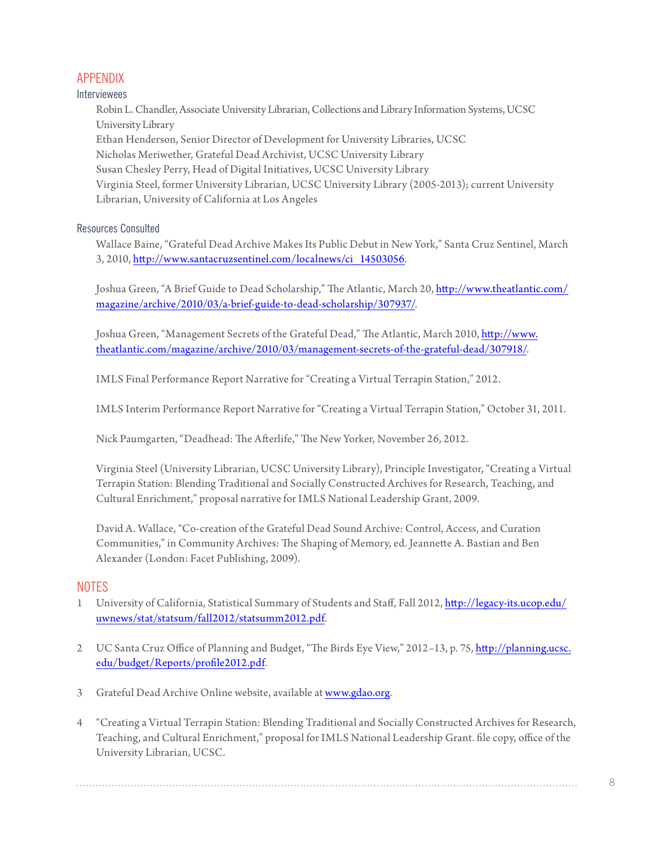# APPENDIX

#### Interviewees

Robin L. Chandler, Associate University Librarian, Collections and Library Information Systems, UCSC University Library Ethan Henderson, Senior Director of Development for University Libraries, UCSC Nicholas Meriwether, Grateful Dead Archivist, UCSC University Library Susan Chesley Perry, Head of Digital Initiatives, UCSC University Library Virginia Steel, former University Librarian, UCSC University Library (2005-2013); current University Librarian, University of California at Los Angeles

#### Resources Consulted

Wallace Baine, "Grateful Dead Archive Makes Its Public Debut in New York," Santa Cruz Sentinel, March 3, 2010, [http://www.santacruzsentinel.com/localnews/ci\\_14503056.](http://www.santacruzsentinel.com/localnews/ci_14503056)

Joshua Green, "A Brief Guide to Dead Scholarship," The Atlantic, March 20, [http://www.theatlantic.com/](http://www.theatlantic.com/magazine/archive/2010/03/a-brief-guide-to-dead-scholarship/307937) [magazine/archive/2010/03/a-brief-guide-to-dead-scholarship/307937/](http://www.theatlantic.com/magazine/archive/2010/03/a-brief-guide-to-dead-scholarship/307937).

Joshua Green, "Management Secrets of the Grateful Dead," The Atlantic, March 2010, [http://www.](http://www.theatlantic.com/magazine/archive/2010/03/management-secrets-of-the-grateful-dead/307918) [theatlantic.com/magazine/archive/2010/03/management-secrets-of-the-grateful-dead/307918](http://www.theatlantic.com/magazine/archive/2010/03/management-secrets-of-the-grateful-dead/307918)/.

IMLS Final Performance Report Narrative for "Creating a Virtual Terrapin Station," 2012.

IMLS Interim Performance Report Narrative for "Creating a Virtual Terrapin Station," October 31, 2011.

Nick Paumgarten, "Deadhead: The Afterlife," The New Yorker, November 26, 2012.

Virginia Steel (University Librarian, UCSC University Library), Principle Investigator, "Creating a Virtual Terrapin Station: Blending Traditional and Socially Constructed Archives for Research, Teaching, and Cultural Enrichment," proposal narrative for IMLS National Leadership Grant, 2009.

David A. Wallace, "Co-creation of the Grateful Dead Sound Archive: Control, Access, and Curation Communities," in Community Archives: The Shaping of Memory, ed. Jeannette A. Bastian and Ben Alexander (London: Facet Publishing, 2009).

#### **NOTES**

- <span id="page-7-0"></span>1 University of California, Statistical Summary of Students and Staff, Fall 2012, [http://legacy-its.ucop.edu/](http://legacy-its.ucop.edu/uwnews/stat/statsum/fall2012/statsumm2012.pdf) [uwnews/stat/statsum/fall2012/statsumm2012.pdf](http://legacy-its.ucop.edu/uwnews/stat/statsum/fall2012/statsumm2012.pdf).
- <span id="page-7-1"></span>2 UC Santa Cruz Office of Planning and Budget, "The Birds Eye View," 2012–13, p. 75, [http://planning.ucsc.](http://planning.ucsc.edu/budget/Reports/profile2012.pdf) [edu/budget/Reports/profile2012.pdf](http://planning.ucsc.edu/budget/Reports/profile2012.pdf).
- <span id="page-7-2"></span>3 Grateful Dead Archive Online website, available at<www.gdao.org>.
- <span id="page-7-3"></span>4 "Creating a Virtual Terrapin Station: Blending Traditional and Socially Constructed Archives for Research, Teaching, and Cultural Enrichment," proposal for IMLS National Leadership Grant. file copy, office of the University Librarian, UCSC.